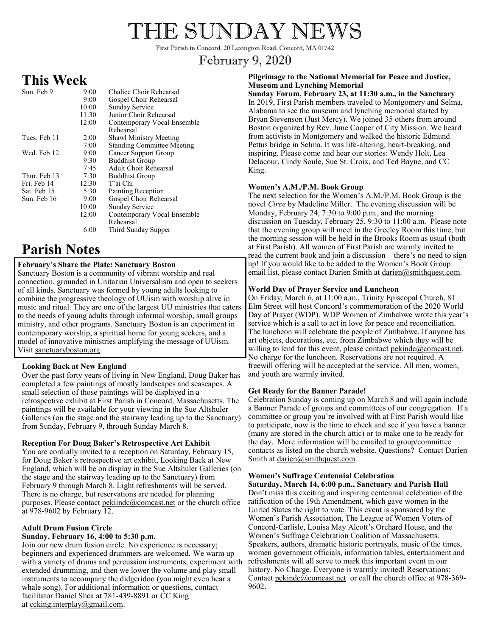# THE SUNDAY NEWS

First Parish in Concord, 20 Lexington Road, Concord, MA 01742

# February 9, 2020

# **This Week**

| Sun. Feb 9   | 9:00<br>9:00<br>10:00<br>11:30<br>12:00 | Chalice Choir Rehearsal<br>Gospel Choir Rehearsal<br>Sunday Service<br>Junior Choir Rehearsal<br>Contemporary Vocal Ensemble<br>Rehearsal |
|--------------|-----------------------------------------|-------------------------------------------------------------------------------------------------------------------------------------------|
| Tues. Feb 11 | 2:00                                    | Shawl Ministry Meeting                                                                                                                    |
|              | 7:00                                    | <b>Standing Committee Meeting</b>                                                                                                         |
| Wed. Feb 12  | 9:00                                    | Cancer Support Group                                                                                                                      |
|              | 9:30                                    | <b>Buddhist Group</b>                                                                                                                     |
|              | 7:45                                    | <b>Adult Choir Rehearsal</b>                                                                                                              |
| Thur. Feb 13 | 7:30                                    | <b>Buddhist Group</b>                                                                                                                     |
| Fri. Feb 14  | 12:30                                   | T'ai Chi                                                                                                                                  |
| Sat. Feb 15  | 5:30                                    | Painting Reception                                                                                                                        |
| Sun. Feb 16  | 9:00                                    | Gospel Choir Rehearsal                                                                                                                    |
|              | 10:00                                   | Sunday Service                                                                                                                            |
|              | 12:00                                   | Contemporary Vocal Ensemble                                                                                                               |
|              |                                         | Rehearsal                                                                                                                                 |
|              | 6:00                                    | Third Sunday Supper                                                                                                                       |

# **Parish Notes**

### **February's Share the Plate: Sanctuary Boston**

Sanctuary Boston is a community of vibrant worship and real connection, grounded in Unitarian Universalism and open to seekers of all kinds. Sanctuary was formed by young adults looking to combine the progressive theology of UUism with worship alive in music and ritual. They are one of the largest UU ministries that caters to the needs of young adults through informal worship, small groups ministry, and other programs. Sanctuary Boston is an experiment in contemporary worship, a spiritual home for young seekers, and a model of innovative ministries amplifying the message of UUism. Visit sanctuaryboston.org.

#### **Looking Back at New England**

Over the past forty years of living in New England, Doug Baker has completed a few paintings of mostly landscapes and seascapes. A small selection of those paintings will be displayed in a retrospective exhibit at First Parish in Concord, Massachusetts. The paintings will be available for your viewing in the Sue Altshuler Galleries (on the stage and the stairway leading up to the Sanctuary) from Sunday, February 9, through Sunday March 8.

#### **Reception For Doug Baker's Retrospective Art Exhibit**

You are cordially invited to a reception on Saturday, February 15, for Doug Baker's retrospective art exhibit, Looking Back at New England, which will be on display in the Sue Altshuler Galleries (on the stage and the stairway leading up to the Sanctuary) from February 9 through March 8. Light refreshments will be served. There is no charge, but reservations are needed for planning purposes. Please contact [pekiindc@comcast.net](mailto:pekiindc@comcast.net) or the church office at 978-9602 by February 12.

# **Adult Drum Fusion Circle**

## **Sunday, February 16, 4:00 to 5:30 p.m.**

Join our new drum fusion circle. No experience is necessary; beginners and experienced drummers are welcomed. We warm up with a variety of drums and percussion instruments, experiment with extended drumming, and then we lower the volume and play small instruments to accompany the didgeridoo (you might even hear a whale song). For additional information or questions, contact facilitator Daniel Shea at 781-439-8891 or CC King at [ccking.interplay@gmail.com.](mailto:ccking.interplay@gmail.com) 

#### **Pilgrimage to the National Memorial for Peace and Justice, Museum and Lynching Memorial**

**Sunday Forum, February 23, at 11:30 a.m., in the Sanctuary** In 2019, First Parish members traveled to Montgomery and Selma, Alabama to see the museum and lynching memorial started by Bryan Stevenson (Just Mercy). We joined 35 others from around Boston organized by Rev. June Cooper of City Mission. We heard from activists in Montgomery and walked the historic Edmund Pettus bridge in Selma. It was life-altering, heart-breaking, and inspiring. Please come and hear our stories: Wendy Holt, Lea Delacour, Cindy Soule, Sue St. Croix, and Ted Bayne, and CC King.

### **Women's A.M./P.M. Book Group**

The next selection for the Women's A.M./P.M. Book Group is the novel *Circe* by Madeline Miller. The evening discussion will be Monday, February 24, 7:30 to 9:00 p.m., and the morning discussion on Tuesday, February 25, 9:30 to 11:00 a.m. Please note that the evening group will meet in the Greeley Room this time, but the morning session will be held in the Brooks Room as usual (both at First Parish). All women of First Parish are warmly invited to read the current book and join a discussion—there's no need to sign up! If you would like to be added to the Women's Book Group email list, please contact Darien Smith at darien@smithquest.com.

### **World Day of Prayer Service and Luncheon**

On Friday, March 6, at 11:00 a.m., Trinity Episcopal Church, 81 Elm Street will host Concord's commemoration of the 2020 World Day of Prayer (WDP). WDP Women of Zimbabwe wrote this year's service which is a call to act in love for peace and reconciliation. The luncheon will celebrate the people of Zimbabwe. If anyone has art objects, decorations, etc. from Zimbabwe which they will be willing to lend for this event, please contact [pekindc@comcast.net.](mailto:pekindc@comcast.net) No charge for the luncheon. Reservations are not required. A freewill offering will be accepted at the service. All men, women, and youth are warmly invited.

### **Get Ready for the Banner Parade!**

Celebration Sunday is coming up on March 8 and will again include a Banner Parade of groups and committees of our congregation. If a committee or group you're involved with at First Parish would like to participate, now is the time to check and see if you have a banner (many are stored in the church attic) or to make one to be ready for the day. More information will be emailed to group/committee contacts as listed on the church website. Questions? Contact Darien Smith at darien@smithquest.com.

### **Women's Suffrage Centennial Celebration**

**Saturday, March 14, 6:00 p.m., Sanctuary and Parish Hall** Don't miss this exciting and inspiring centennial celebration of the ratification of the 19th Amendment, which gave women in the United States the right to vote. This event is sponsored by the Women's Parish Association, The League of Women Voters of Concord-Carlisle, Louisa May Alcott's Orchard House, and the Women's Suffrage Celebration Coalition of Massachusetts. Speakers, authors, dramatic historic portrayals, music of the times, women government officials, information tables, entertainment and refreshments will all serve to mark this important event in our history. No Charge. Everyone is warmly invited! Reservations: Contact [pekindc@comcast.net](mailto:pekindc@comcast.net) or call the church office at 978-369-9602.